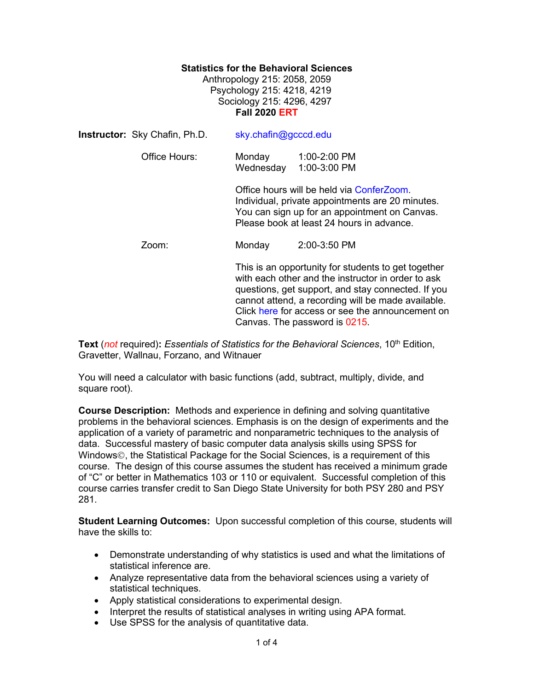## **Statistics for the Behavioral Sciences**

Anthropology 215: 2058, 2059 Psychology 215: 4218, 4219 Sociology 215: 4296, 4297 **Fall 2020 ERT**

| <b>Instructor:</b> Sky Chafin, Ph.D. | sky.chafin@gcccd.edu                                                                                                                                                                                                                                                                                       |                              |  |
|--------------------------------------|------------------------------------------------------------------------------------------------------------------------------------------------------------------------------------------------------------------------------------------------------------------------------------------------------------|------------------------------|--|
| Office Hours:                        | Monday<br>Wednesday                                                                                                                                                                                                                                                                                        | 1:00-2:00 PM<br>1:00-3:00 PM |  |
|                                      | Office hours will be held via ConferZoom.<br>Individual, private appointments are 20 minutes.<br>You can sign up for an appointment on Canvas.<br>Please book at least 24 hours in advance.                                                                                                                |                              |  |
| Zoom:                                | Monday                                                                                                                                                                                                                                                                                                     | 2:00-3:50 PM                 |  |
|                                      | This is an opportunity for students to get together<br>with each other and the instructor in order to ask<br>questions, get support, and stay connected. If you<br>cannot attend, a recording will be made available.<br>Click here for access or see the announcement on<br>Canvas. The password is 0215. |                              |  |

**Text** (*not* required): *Essentials of Statistics for the Behavioral Sciences*, 10<sup>th</sup> Edition, Gravetter, Wallnau, Forzano, and Witnauer

You will need a calculator with basic functions (add, subtract, multiply, divide, and square root).

**Course Description:** Methods and experience in defining and solving quantitative problems in the behavioral sciences. Emphasis is on the design of experiments and the application of a variety of parametric and nonparametric techniques to the analysis of data. Successful mastery of basic computer data analysis skills using SPSS for Windows©, the Statistical Package for the Social Sciences, is a requirement of this course. The design of this course assumes the student has received a minimum grade of "C" or better in Mathematics 103 or 110 or equivalent. Successful completion of this course carries transfer credit to San Diego State University for both PSY 280 and PSY 281.

**Student Learning Outcomes:** Upon successful completion of this course, students will have the skills to:

- Demonstrate understanding of why statistics is used and what the limitations of statistical inference are.
- Analyze representative data from the behavioral sciences using a variety of statistical techniques.
- Apply statistical considerations to experimental design.
- Interpret the results of statistical analyses in writing using APA format.
- Use SPSS for the analysis of quantitative data.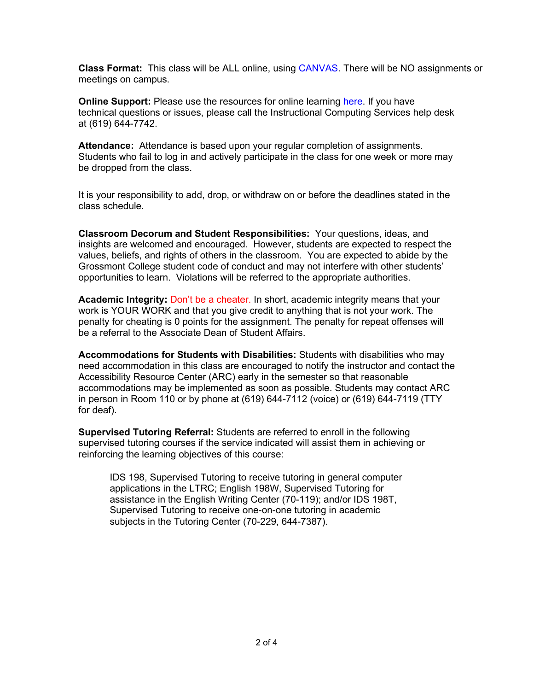**Class Format:** This class will be ALL online, using [CANVAS.](https://gcccd.instructure.com/) There will be NO assignments or meetings on campus.

**Online Support:** Please use the resources for online learning [here.](https://www.grossmont.edu/canvas/students/) If you have technical questions or issues, please call the Instructional Computing Services help desk at (619) 644-7742.

**Attendance:** Attendance is based upon your regular completion of assignments. Students who fail to log in and actively participate in the class for one week or more may be dropped from the class.

It is your responsibility to add, drop, or withdraw on or before the deadlines stated in the class schedule.

**Classroom Decorum and Student Responsibilities:** Your questions, ideas, and insights are welcomed and encouraged. However, students are expected to respect the values, beliefs, and rights of others in the classroom. You are expected to abide by the Grossmont College student code of conduct and may not interfere with other students' opportunities to learn. Violations will be referred to the appropriate authorities.

**Academic Integrity:** Don't be a cheater. In short, academic integrity means that your work is YOUR WORK and that you give credit to anything that is not your work. The penalty for cheating is 0 points for the assignment. The penalty for repeat offenses will be a referral to the Associate Dean of Student Affairs.

**Accommodations for Students with Disabilities:** Students with disabilities who may need accommodation in this class are encouraged to notify the instructor and contact the Accessibility Resource Center (ARC) early in the semester so that reasonable accommodations may be implemented as soon as possible. Students may contact ARC in person in Room 110 or by phone at (619) 644-7112 (voice) or (619) 644-7119 (TTY for deaf).

**Supervised Tutoring Referral:** Students are referred to enroll in the following supervised tutoring courses if the service indicated will assist them in achieving or reinforcing the learning objectives of this course:

IDS 198, Supervised Tutoring to receive tutoring in general computer applications in the LTRC; English 198W, Supervised Tutoring for assistance in the English Writing Center (70-119); and/or IDS 198T, Supervised Tutoring to receive one-on-one tutoring in academic subjects in the Tutoring Center (70-229, 644-7387).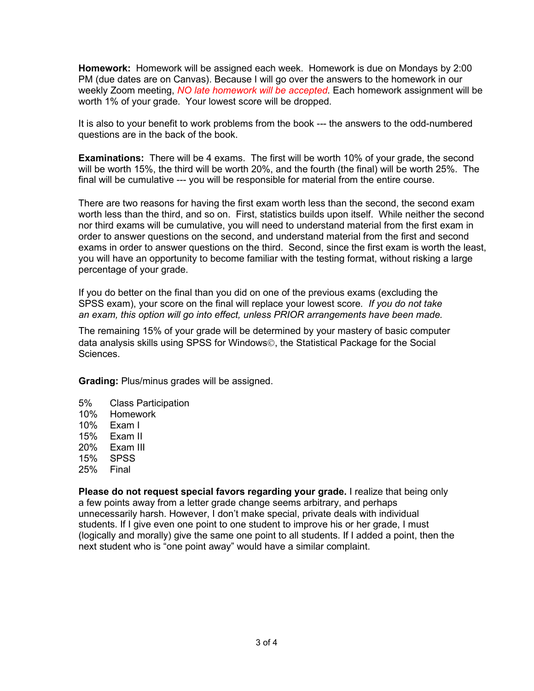**Homework:** Homework will be assigned each week. Homework is due on Mondays by 2:00 PM (due dates are on Canvas). Because I will go over the answers to the homework in our weekly Zoom meeting, *NO late homework will be accepted.* Each homework assignment will be worth 1% of your grade. Your lowest score will be dropped.

It is also to your benefit to work problems from the book --- the answers to the odd-numbered questions are in the back of the book.

**Examinations:** There will be 4 exams. The first will be worth 10% of your grade, the second will be worth 15%, the third will be worth 20%, and the fourth (the final) will be worth 25%. The final will be cumulative --- you will be responsible for material from the entire course.

There are two reasons for having the first exam worth less than the second, the second exam worth less than the third, and so on. First, statistics builds upon itself. While neither the second nor third exams will be cumulative, you will need to understand material from the first exam in order to answer questions on the second, and understand material from the first and second exams in order to answer questions on the third. Second, since the first exam is worth the least, you will have an opportunity to become familiar with the testing format, without risking a large percentage of your grade.

If you do better on the final than you did on one of the previous exams (excluding the SPSS exam), your score on the final will replace your lowest score*. If you do not take an exam, this option will go into effect, unless PRIOR arrangements have been made.* 

The remaining 15% of your grade will be determined by your mastery of basic computer data analysis skills using SPSS for Windows©, the Statistical Package for the Social Sciences.

**Grading:** Plus/minus grades will be assigned.

- 5% Class Participation
- 10% Homework
- 10% Exam I
- 15% Exam II
- 20% Exam III
- 15% SPSS
- 25% Final

**Please do not request special favors regarding your grade.** I realize that being only a few points away from a letter grade change seems arbitrary, and perhaps unnecessarily harsh. However, I don't make special, private deals with individual students. If I give even one point to one student to improve his or her grade, I must (logically and morally) give the same one point to all students. If I added a point, then the next student who is "one point away" would have a similar complaint.